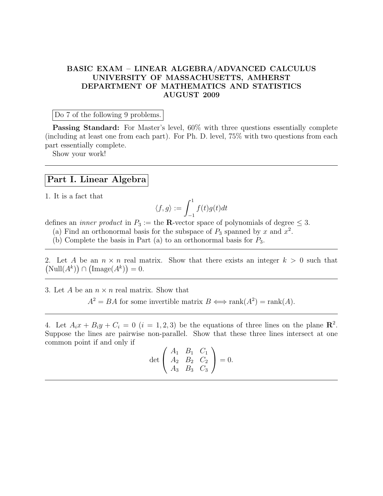## BASIC EXAM – LINEAR ALGEBRA/ADVANCED CALCULUS UNIVERSITY OF MASSACHUSETTS, AMHERST DEPARTMENT OF MATHEMATICS AND STATISTICS AUGUST 2009

Do 7 of the following 9 problems.

Passing Standard: For Master's level, 60% with three questions essentially complete (including at least one from each part). For Ph. D. level, 75% with two questions from each part essentially complete.

Show your work!

## Part I. Linear Algebra

1. It is a fact that

$$
\langle f, g \rangle := \int_{-1}^{1} f(t)g(t)dt
$$

defines an *inner product* in  $P_3 :=$  the **R**-vector space of polynomials of degree  $\leq 3$ .

- (a) Find an orthonormal basis for the subspace of  $P_3$  spanned by x and  $x^2$ .
- (b) Complete the basis in Part (a) to an orthonormal basis for  $P_3$ .

2. Let A be an  $n \times n$  real matrix. Show that there exists an integer  $k > 0$  such that  $(Null(A^k)) \cap (Image(A^k)) = 0.$ 

3. Let A be an  $n \times n$  real matrix. Show that

 $A^2 = BA$  for some invertible matrix  $B \iff \text{rank}(A^2) = \text{rank}(A)$ .

4. Let  $A_ix + B_iy + C_i = 0$   $(i = 1, 2, 3)$  be the equations of three lines on the plane  $\mathbb{R}^2$ . Suppose the lines are pairwise non-parallel. Show that these three lines intersect at one common point if and only if

$$
\det \begin{pmatrix} A_1 & B_1 & C_1 \\ A_2 & B_2 & C_2 \\ A_3 & B_3 & C_3 \end{pmatrix} = 0.
$$